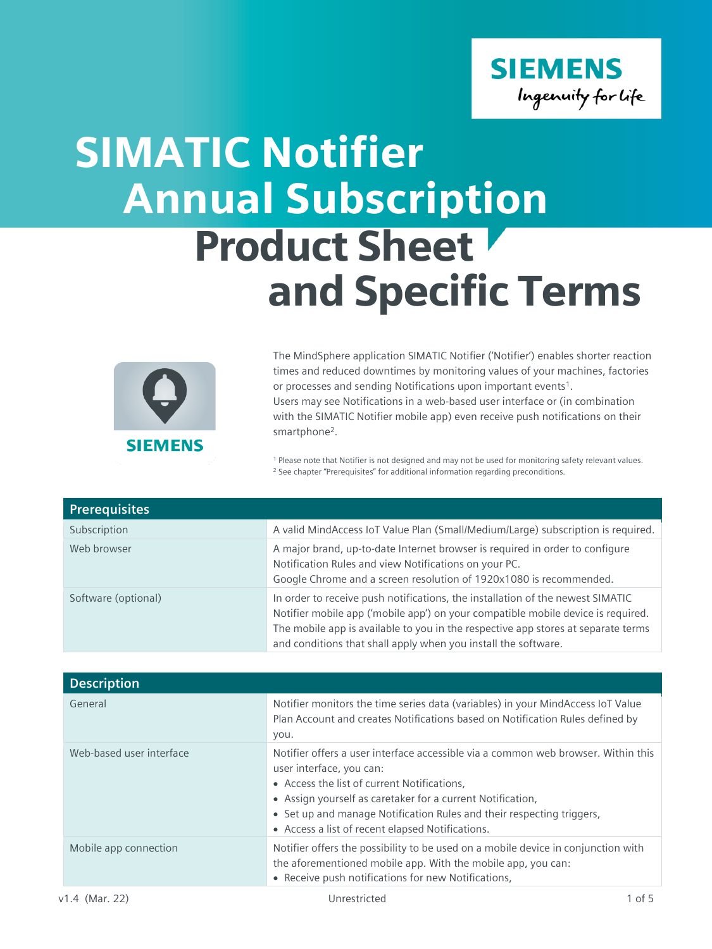

## Annual Subscription Product Sheet and Specific Terms SIMATIC Notifier



The MindSphere application SIMATIC Notifier ('Notifier') enables shorter reaction times and reduced downtimes by monitoring values of your machines, factories or processes and sending Notifications upon important events<sup>1</sup>. Users may see Notifications in a web-based user interface or (in combination with the SIMATIC Notifier mobile app) even receive push notifications on their smartphone<sup>2</sup>.

<sup>1</sup> Please note that Notifier is not designed and may not be used for monitoring safety relevant values. <sup>2</sup> See chapter "Prerequisites" for additional information regarding preconditions.

| <b>Prerequisites</b> |                                                                                                                                                                                                                                                                                                                           |
|----------------------|---------------------------------------------------------------------------------------------------------------------------------------------------------------------------------------------------------------------------------------------------------------------------------------------------------------------------|
| Subscription         | A valid MindAccess IoT Value Plan (Small/Medium/Large) subscription is required.                                                                                                                                                                                                                                          |
| Web browser          | A major brand, up-to-date Internet browser is required in order to configure<br>Notification Rules and view Notifications on your PC.<br>Google Chrome and a screen resolution of 1920x1080 is recommended.                                                                                                               |
| Software (optional)  | In order to receive push notifications, the installation of the newest SIMATIC<br>Notifier mobile app ('mobile app') on your compatible mobile device is required.<br>The mobile app is available to you in the respective app stores at separate terms<br>and conditions that shall apply when you install the software. |

| <b>Description</b>       |                                                                                                                                                                                                                                                                                                                                                         |
|--------------------------|---------------------------------------------------------------------------------------------------------------------------------------------------------------------------------------------------------------------------------------------------------------------------------------------------------------------------------------------------------|
| General                  | Notifier monitors the time series data (variables) in your MindAccess IoT Value<br>Plan Account and creates Notifications based on Notification Rules defined by<br>you.                                                                                                                                                                                |
| Web-based user interface | Notifier offers a user interface accessible via a common web browser. Within this<br>user interface, you can:<br>• Access the list of current Notifications,<br>• Assign yourself as caretaker for a current Notification,<br>• Set up and manage Notification Rules and their respecting triggers,<br>• Access a list of recent elapsed Notifications. |
| Mobile app connection    | Notifier offers the possibility to be used on a mobile device in conjunction with<br>the aforementioned mobile app. With the mobile app, you can:<br>• Receive push notifications for new Notifications,                                                                                                                                                |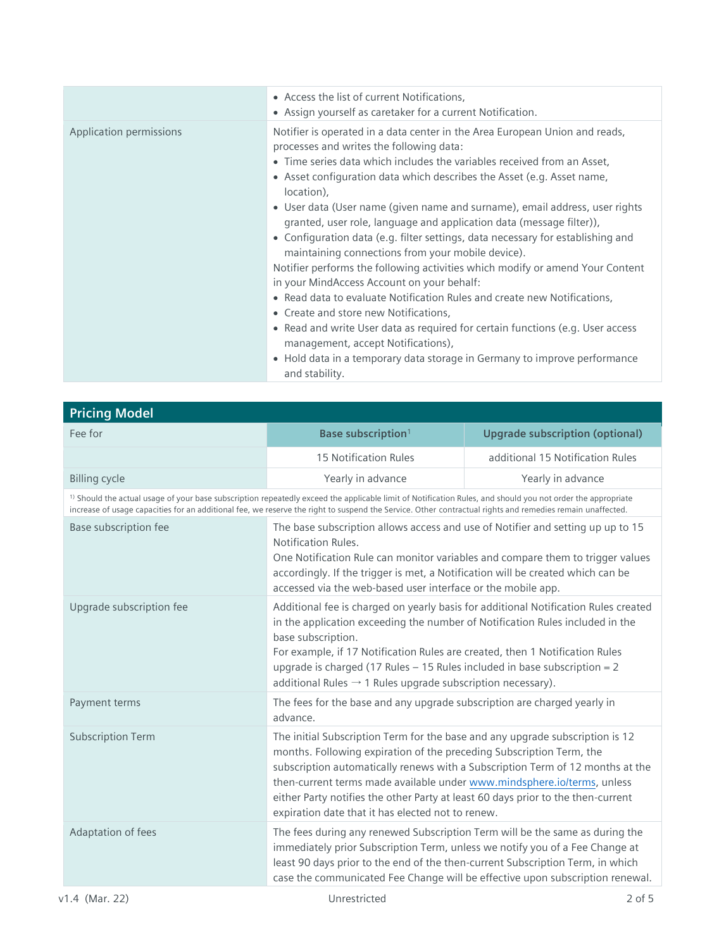|                         | • Access the list of current Notifications,<br>• Assign yourself as caretaker for a current Notification.                                                                                                                                                                                                                                                                                                                                                                                                                                                                                                                                                                                                                                                                                                                                     |
|-------------------------|-----------------------------------------------------------------------------------------------------------------------------------------------------------------------------------------------------------------------------------------------------------------------------------------------------------------------------------------------------------------------------------------------------------------------------------------------------------------------------------------------------------------------------------------------------------------------------------------------------------------------------------------------------------------------------------------------------------------------------------------------------------------------------------------------------------------------------------------------|
| Application permissions | Notifier is operated in a data center in the Area European Union and reads,<br>processes and writes the following data:<br>• Time series data which includes the variables received from an Asset,<br>• Asset configuration data which describes the Asset (e.g. Asset name,<br>location),<br>• User data (User name (given name and surname), email address, user rights<br>granted, user role, language and application data (message filter)),<br>• Configuration data (e.g. filter settings, data necessary for establishing and<br>maintaining connections from your mobile device).<br>Notifier performs the following activities which modify or amend Your Content<br>in your MindAccess Account on your behalf:<br>• Read data to evaluate Notification Rules and create new Notifications,<br>• Create and store new Notifications, |
|                         | • Read and write User data as required for certain functions (e.g. User access<br>management, accept Notifications),<br>• Hold data in a temporary data storage in Germany to improve performance                                                                                                                                                                                                                                                                                                                                                                                                                                                                                                                                                                                                                                             |
|                         | and stability.                                                                                                                                                                                                                                                                                                                                                                                                                                                                                                                                                                                                                                                                                                                                                                                                                                |

| <b>Pricing Model</b>                                                                                                                                                                                                                                                                                                                |                                                                                                                                                                                                                                                                                                                                                                                                                                                             |                                        |
|-------------------------------------------------------------------------------------------------------------------------------------------------------------------------------------------------------------------------------------------------------------------------------------------------------------------------------------|-------------------------------------------------------------------------------------------------------------------------------------------------------------------------------------------------------------------------------------------------------------------------------------------------------------------------------------------------------------------------------------------------------------------------------------------------------------|----------------------------------------|
| Fee for                                                                                                                                                                                                                                                                                                                             | Base subscription <sup>1</sup>                                                                                                                                                                                                                                                                                                                                                                                                                              | <b>Upgrade subscription (optional)</b> |
|                                                                                                                                                                                                                                                                                                                                     | 15 Notification Rules                                                                                                                                                                                                                                                                                                                                                                                                                                       | additional 15 Notification Rules       |
| <b>Billing cycle</b>                                                                                                                                                                                                                                                                                                                | Yearly in advance                                                                                                                                                                                                                                                                                                                                                                                                                                           | Yearly in advance                      |
| <sup>1)</sup> Should the actual usage of your base subscription repeatedly exceed the applicable limit of Notification Rules, and should you not order the appropriate<br>increase of usage capacities for an additional fee, we reserve the right to suspend the Service. Other contractual rights and remedies remain unaffected. |                                                                                                                                                                                                                                                                                                                                                                                                                                                             |                                        |
| Base subscription fee                                                                                                                                                                                                                                                                                                               | The base subscription allows access and use of Notifier and setting up up to 15<br>Notification Rules.<br>One Notification Rule can monitor variables and compare them to trigger values<br>accordingly. If the trigger is met, a Notification will be created which can be<br>accessed via the web-based user interface or the mobile app.                                                                                                                 |                                        |
| Upgrade subscription fee                                                                                                                                                                                                                                                                                                            | Additional fee is charged on yearly basis for additional Notification Rules created<br>in the application exceeding the number of Notification Rules included in the<br>base subscription.<br>For example, if 17 Notification Rules are created, then 1 Notification Rules<br>upgrade is charged (17 Rules $-$ 15 Rules included in base subscription = 2<br>additional Rules $\rightarrow$ 1 Rules upgrade subscription necessary).                        |                                        |
| Payment terms                                                                                                                                                                                                                                                                                                                       | The fees for the base and any upgrade subscription are charged yearly in<br>advance.                                                                                                                                                                                                                                                                                                                                                                        |                                        |
| <b>Subscription Term</b>                                                                                                                                                                                                                                                                                                            | The initial Subscription Term for the base and any upgrade subscription is 12<br>months. Following expiration of the preceding Subscription Term, the<br>subscription automatically renews with a Subscription Term of 12 months at the<br>then-current terms made available under www.mindsphere.io/terms, unless<br>either Party notifies the other Party at least 60 days prior to the then-current<br>expiration date that it has elected not to renew. |                                        |
| Adaptation of fees                                                                                                                                                                                                                                                                                                                  | The fees during any renewed Subscription Term will be the same as during the<br>immediately prior Subscription Term, unless we notify you of a Fee Change at<br>least 90 days prior to the end of the then-current Subscription Term, in which<br>case the communicated Fee Change will be effective upon subscription renewal.                                                                                                                             |                                        |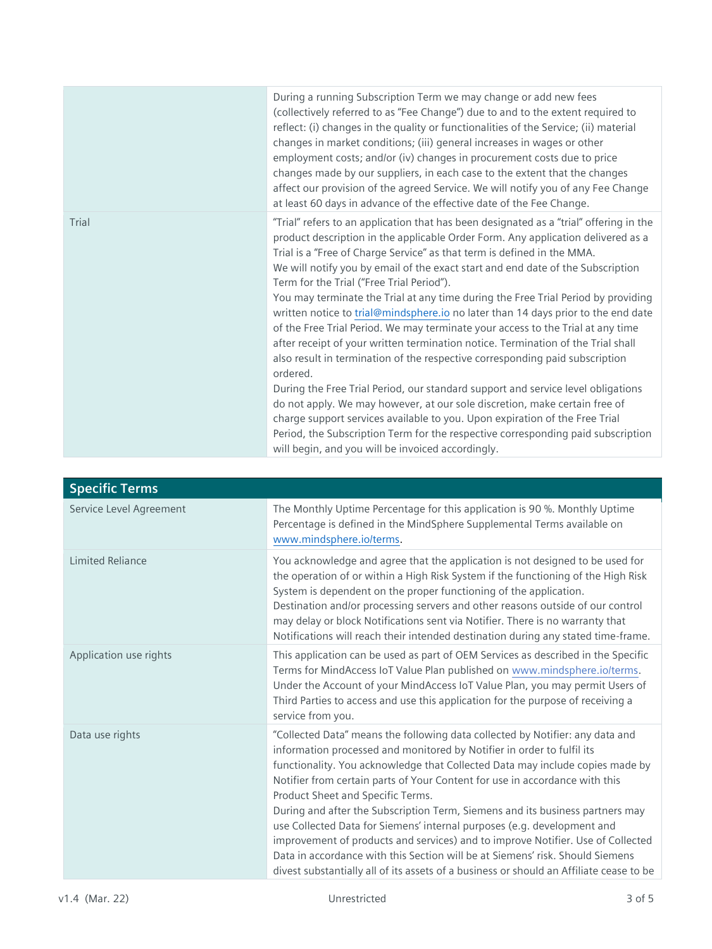|       | During a running Subscription Term we may change or add new fees<br>(collectively referred to as "Fee Change") due to and to the extent required to<br>reflect: (i) changes in the quality or functionalities of the Service; (ii) material<br>changes in market conditions; (iii) general increases in wages or other<br>employment costs; and/or (iv) changes in procurement costs due to price<br>changes made by our suppliers, in each case to the extent that the changes<br>affect our provision of the agreed Service. We will notify you of any Fee Change<br>at least 60 days in advance of the effective date of the Fee Change.                                                                                                                                                                                                                                                                                                                                                                                                                                                                                                                                                                                  |
|-------|------------------------------------------------------------------------------------------------------------------------------------------------------------------------------------------------------------------------------------------------------------------------------------------------------------------------------------------------------------------------------------------------------------------------------------------------------------------------------------------------------------------------------------------------------------------------------------------------------------------------------------------------------------------------------------------------------------------------------------------------------------------------------------------------------------------------------------------------------------------------------------------------------------------------------------------------------------------------------------------------------------------------------------------------------------------------------------------------------------------------------------------------------------------------------------------------------------------------------|
| Trial | "Trial" refers to an application that has been designated as a "trial" offering in the<br>product description in the applicable Order Form. Any application delivered as a<br>Trial is a "Free of Charge Service" as that term is defined in the MMA.<br>We will notify you by email of the exact start and end date of the Subscription<br>Term for the Trial ("Free Trial Period").<br>You may terminate the Trial at any time during the Free Trial Period by providing<br>written notice to trial@mindsphere.io no later than 14 days prior to the end date<br>of the Free Trial Period. We may terminate your access to the Trial at any time<br>after receipt of your written termination notice. Termination of the Trial shall<br>also result in termination of the respective corresponding paid subscription<br>ordered.<br>During the Free Trial Period, our standard support and service level obligations<br>do not apply. We may however, at our sole discretion, make certain free of<br>charge support services available to you. Upon expiration of the Free Trial<br>Period, the Subscription Term for the respective corresponding paid subscription<br>will begin, and you will be invoiced accordingly. |

| <b>Specific Terms</b>   |                                                                                                                                                                                                                                                                                                                                                                                                                                                                                                                                                                                                                                                                                                                                                                                         |
|-------------------------|-----------------------------------------------------------------------------------------------------------------------------------------------------------------------------------------------------------------------------------------------------------------------------------------------------------------------------------------------------------------------------------------------------------------------------------------------------------------------------------------------------------------------------------------------------------------------------------------------------------------------------------------------------------------------------------------------------------------------------------------------------------------------------------------|
| Service Level Agreement | The Monthly Uptime Percentage for this application is 90 %. Monthly Uptime<br>Percentage is defined in the MindSphere Supplemental Terms available on<br>www.mindsphere.io/terms.                                                                                                                                                                                                                                                                                                                                                                                                                                                                                                                                                                                                       |
| <b>Limited Reliance</b> | You acknowledge and agree that the application is not designed to be used for<br>the operation of or within a High Risk System if the functioning of the High Risk<br>System is dependent on the proper functioning of the application.<br>Destination and/or processing servers and other reasons outside of our control<br>may delay or block Notifications sent via Notifier. There is no warranty that<br>Notifications will reach their intended destination during any stated time-frame.                                                                                                                                                                                                                                                                                         |
| Application use rights  | This application can be used as part of OEM Services as described in the Specific<br>Terms for MindAccess IoT Value Plan published on www.mindsphere.io/terms.<br>Under the Account of your MindAccess IoT Value Plan, you may permit Users of<br>Third Parties to access and use this application for the purpose of receiving a<br>service from you.                                                                                                                                                                                                                                                                                                                                                                                                                                  |
| Data use rights         | "Collected Data" means the following data collected by Notifier: any data and<br>information processed and monitored by Notifier in order to fulfil its<br>functionality. You acknowledge that Collected Data may include copies made by<br>Notifier from certain parts of Your Content for use in accordance with this<br>Product Sheet and Specific Terms.<br>During and after the Subscription Term, Siemens and its business partners may<br>use Collected Data for Siemens' internal purposes (e.g. development and<br>improvement of products and services) and to improve Notifier. Use of Collected<br>Data in accordance with this Section will be at Siemens' risk. Should Siemens<br>divest substantially all of its assets of a business or should an Affiliate cease to be |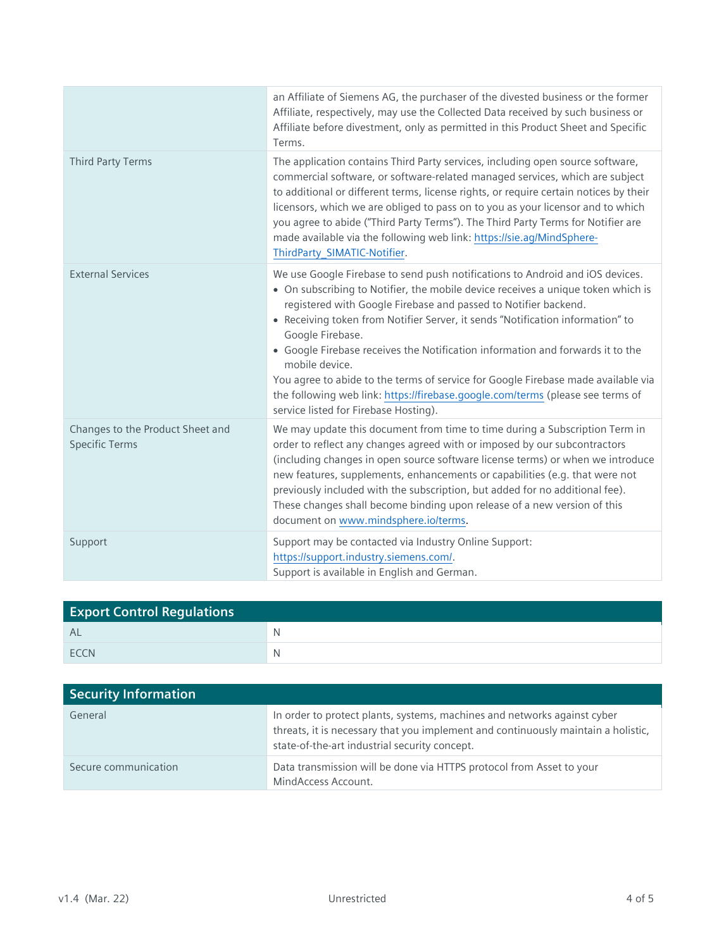|                                                           | an Affiliate of Siemens AG, the purchaser of the divested business or the former<br>Affiliate, respectively, may use the Collected Data received by such business or<br>Affiliate before divestment, only as permitted in this Product Sheet and Specific<br>Terms.                                                                                                                                                                                                                                                                                                                                                                                            |
|-----------------------------------------------------------|----------------------------------------------------------------------------------------------------------------------------------------------------------------------------------------------------------------------------------------------------------------------------------------------------------------------------------------------------------------------------------------------------------------------------------------------------------------------------------------------------------------------------------------------------------------------------------------------------------------------------------------------------------------|
| <b>Third Party Terms</b>                                  | The application contains Third Party services, including open source software,<br>commercial software, or software-related managed services, which are subject<br>to additional or different terms, license rights, or require certain notices by their<br>licensors, which we are obliged to pass on to you as your licensor and to which<br>you agree to abide ("Third Party Terms"). The Third Party Terms for Notifier are<br>made available via the following web link: https://sie.ag/MindSphere-<br>ThirdParty_SIMATIC-Notifier.                                                                                                                        |
| <b>External Services</b>                                  | We use Google Firebase to send push notifications to Android and iOS devices.<br>• On subscribing to Notifier, the mobile device receives a unique token which is<br>registered with Google Firebase and passed to Notifier backend.<br>• Receiving token from Notifier Server, it sends "Notification information" to<br>Google Firebase.<br>• Google Firebase receives the Notification information and forwards it to the<br>mobile device.<br>You agree to abide to the terms of service for Google Firebase made available via<br>the following web link: https://firebase.google.com/terms (please see terms of<br>service listed for Firebase Hosting). |
| Changes to the Product Sheet and<br><b>Specific Terms</b> | We may update this document from time to time during a Subscription Term in<br>order to reflect any changes agreed with or imposed by our subcontractors<br>(including changes in open source software license terms) or when we introduce<br>new features, supplements, enhancements or capabilities (e.g. that were not<br>previously included with the subscription, but added for no additional fee).<br>These changes shall become binding upon release of a new version of this<br>document on www.mindsphere.io/terms.                                                                                                                                  |
| Support                                                   | Support may be contacted via Industry Online Support:<br>https://support.industry.siemens.com/.<br>Support is available in English and German.                                                                                                                                                                                                                                                                                                                                                                                                                                                                                                                 |

| <b>Export Control Regulations</b> |   |
|-----------------------------------|---|
| Al                                | N |
| <b>FCCN</b>                       |   |

| Security Information |                                                                                                                                                                                                                |
|----------------------|----------------------------------------------------------------------------------------------------------------------------------------------------------------------------------------------------------------|
| General              | In order to protect plants, systems, machines and networks against cyber<br>threats, it is necessary that you implement and continuously maintain a holistic,<br>state-of-the-art industrial security concept. |
| Secure communication | Data transmission will be done via HTTPS protocol from Asset to your<br>MindAccess Account.                                                                                                                    |